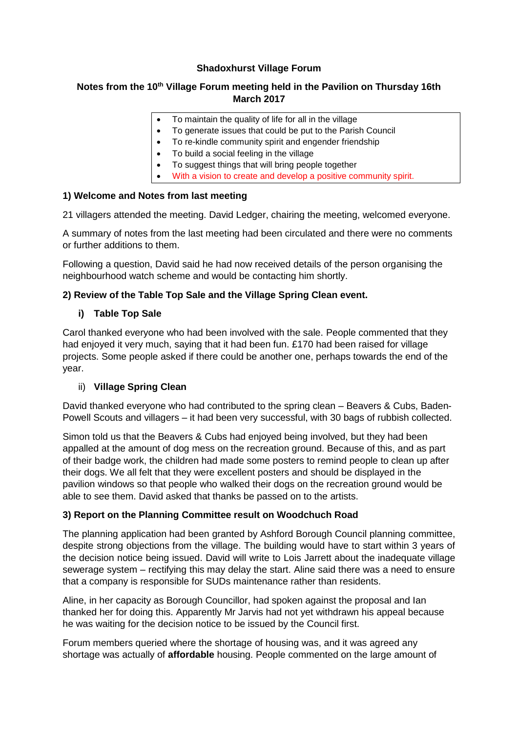## **Shadoxhurst Village Forum**

# **Notes from the 10th Village Forum meeting held in the Pavilion on Thursday 16th March 2017**

- To maintain the quality of life for all in the village
- To generate issues that could be put to the Parish Council
- To re-kindle community spirit and engender friendship
- To build a social feeling in the village
- To suggest things that will bring people together
- With a vision to create and develop a positive community spirit.

#### **1) Welcome and Notes from last meeting**

21 villagers attended the meeting. David Ledger, chairing the meeting, welcomed everyone.

A summary of notes from the last meeting had been circulated and there were no comments or further additions to them.

Following a question, David said he had now received details of the person organising the neighbourhood watch scheme and would be contacting him shortly.

## **2) Review of the Table Top Sale and the Village Spring Clean event.**

#### **i) Table Top Sale**

Carol thanked everyone who had been involved with the sale. People commented that they had enjoyed it very much, saying that it had been fun. £170 had been raised for village projects. Some people asked if there could be another one, perhaps towards the end of the year.

# ii) **Village Spring Clean**

David thanked everyone who had contributed to the spring clean – Beavers & Cubs, Baden-Powell Scouts and villagers – it had been very successful, with 30 bags of rubbish collected.

Simon told us that the Beavers & Cubs had enjoyed being involved, but they had been appalled at the amount of dog mess on the recreation ground. Because of this, and as part of their badge work, the children had made some posters to remind people to clean up after their dogs. We all felt that they were excellent posters and should be displayed in the pavilion windows so that people who walked their dogs on the recreation ground would be able to see them. David asked that thanks be passed on to the artists.

#### **3) Report on the Planning Committee result on Woodchuch Road**

The planning application had been granted by Ashford Borough Council planning committee, despite strong objections from the village. The building would have to start within 3 years of the decision notice being issued. David will write to Lois Jarrett about the inadequate village sewerage system – rectifying this may delay the start. Aline said there was a need to ensure that a company is responsible for SUDs maintenance rather than residents.

Aline, in her capacity as Borough Councillor, had spoken against the proposal and Ian thanked her for doing this. Apparently Mr Jarvis had not yet withdrawn his appeal because he was waiting for the decision notice to be issued by the Council first.

Forum members queried where the shortage of housing was, and it was agreed any shortage was actually of **affordable** housing. People commented on the large amount of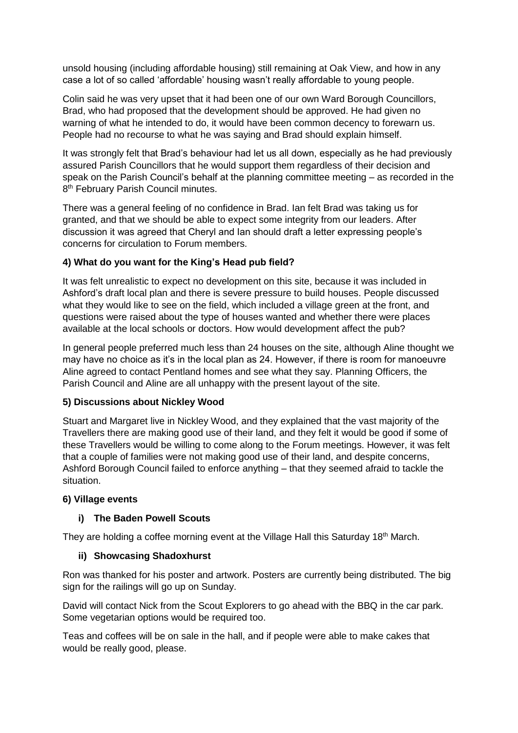unsold housing (including affordable housing) still remaining at Oak View, and how in any case a lot of so called 'affordable' housing wasn't really affordable to young people.

Colin said he was very upset that it had been one of our own Ward Borough Councillors, Brad, who had proposed that the development should be approved. He had given no warning of what he intended to do, it would have been common decency to forewarn us. People had no recourse to what he was saying and Brad should explain himself.

It was strongly felt that Brad's behaviour had let us all down, especially as he had previously assured Parish Councillors that he would support them regardless of their decision and speak on the Parish Council's behalf at the planning committee meeting – as recorded in the 8<sup>th</sup> February Parish Council minutes.

There was a general feeling of no confidence in Brad. Ian felt Brad was taking us for granted, and that we should be able to expect some integrity from our leaders. After discussion it was agreed that Cheryl and Ian should draft a letter expressing people's concerns for circulation to Forum members.

## **4) What do you want for the King's Head pub field?**

It was felt unrealistic to expect no development on this site, because it was included in Ashford's draft local plan and there is severe pressure to build houses. People discussed what they would like to see on the field, which included a village green at the front, and questions were raised about the type of houses wanted and whether there were places available at the local schools or doctors. How would development affect the pub?

In general people preferred much less than 24 houses on the site, although Aline thought we may have no choice as it's in the local plan as 24. However, if there is room for manoeuvre Aline agreed to contact Pentland homes and see what they say. Planning Officers, the Parish Council and Aline are all unhappy with the present layout of the site.

#### **5) Discussions about Nickley Wood**

Stuart and Margaret live in Nickley Wood, and they explained that the vast majority of the Travellers there are making good use of their land, and they felt it would be good if some of these Travellers would be willing to come along to the Forum meetings. However, it was felt that a couple of families were not making good use of their land, and despite concerns, Ashford Borough Council failed to enforce anything – that they seemed afraid to tackle the situation.

#### **6) Village events**

# **i) The Baden Powell Scouts**

They are holding a coffee morning event at the Village Hall this Saturday 18<sup>th</sup> March.

#### **ii) Showcasing Shadoxhurst**

Ron was thanked for his poster and artwork. Posters are currently being distributed. The big sign for the railings will go up on Sunday.

David will contact Nick from the Scout Explorers to go ahead with the BBQ in the car park. Some vegetarian options would be required too.

Teas and coffees will be on sale in the hall, and if people were able to make cakes that would be really good, please.